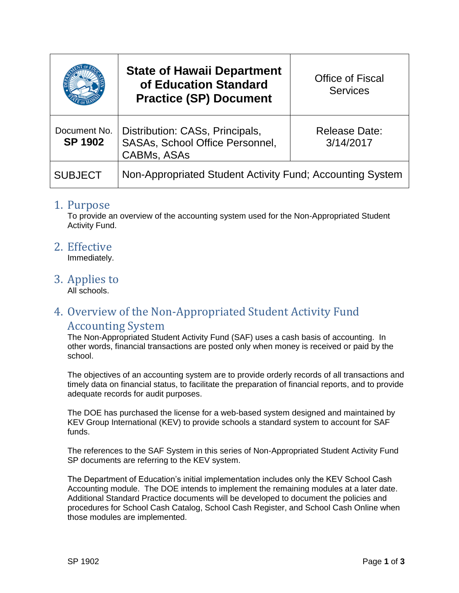|                                | <b>State of Hawaii Department</b><br>of Education Standard<br><b>Practice (SP) Document</b>     | <b>Office of Fiscal</b><br><b>Services</b> |
|--------------------------------|-------------------------------------------------------------------------------------------------|--------------------------------------------|
| Document No.<br><b>SP 1902</b> | Distribution: CASs, Principals,<br><b>SASAs, School Office Personnel,</b><br><b>CABMs, ASAs</b> | Release Date:<br>3/14/2017                 |
| <b>SUBJECT</b>                 | Non-Appropriated Student Activity Fund; Accounting System                                       |                                            |

### 1. Purpose

To provide an overview of the accounting system used for the Non-Appropriated Student Activity Fund.

2. Effective

Immediately.

3. Applies to

All schools.

# 4. Overview of the Non-Appropriated Student Activity Fund

### Accounting System

The Non-Appropriated Student Activity Fund (SAF) uses a cash basis of accounting. In other words, financial transactions are posted only when money is received or paid by the school.

The objectives of an accounting system are to provide orderly records of all transactions and timely data on financial status, to facilitate the preparation of financial reports, and to provide adequate records for audit purposes.

The DOE has purchased the license for a web-based system designed and maintained by KEV Group International (KEV) to provide schools a standard system to account for SAF funds.

The references to the SAF System in this series of Non-Appropriated Student Activity Fund SP documents are referring to the KEV system.

The Department of Education's initial implementation includes only the KEV School Cash Accounting module. The DOE intends to implement the remaining modules at a later date. Additional Standard Practice documents will be developed to document the policies and procedures for School Cash Catalog, School Cash Register, and School Cash Online when those modules are implemented.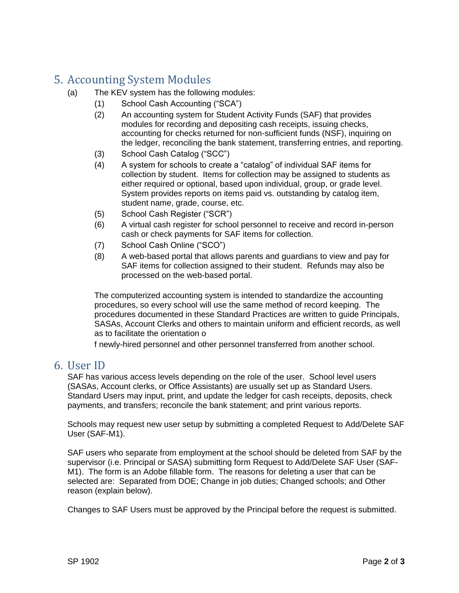# 5. Accounting System Modules

- (a) The KEV system has the following modules:
	- (1) School Cash Accounting ("SCA")
	- (2) An accounting system for Student Activity Funds (SAF) that provides modules for recording and depositing cash receipts, issuing checks, accounting for checks returned for non-sufficient funds (NSF), inquiring on the ledger, reconciling the bank statement, transferring entries, and reporting.
	- (3) School Cash Catalog ("SCC")
	- (4) A system for schools to create a "catalog" of individual SAF items for collection by student. Items for collection may be assigned to students as either required or optional, based upon individual, group, or grade level. System provides reports on items paid vs. outstanding by catalog item, student name, grade, course, etc.
	- (5) School Cash Register ("SCR")
	- (6) A virtual cash register for school personnel to receive and record in-person cash or check payments for SAF items for collection.
	- (7) School Cash Online ("SCO")
	- (8) A web-based portal that allows parents and guardians to view and pay for SAF items for collection assigned to their student. Refunds may also be processed on the web-based portal.

The computerized accounting system is intended to standardize the accounting procedures, so every school will use the same method of record keeping. The procedures documented in these Standard Practices are written to guide Principals, SASAs, Account Clerks and others to maintain uniform and efficient records, as well as to facilitate the orientation o

f newly-hired personnel and other personnel transferred from another school.

### 6. User ID

SAF has various access levels depending on the role of the user. School level users (SASAs, Account clerks, or Office Assistants) are usually set up as Standard Users. Standard Users may input, print, and update the ledger for cash receipts, deposits, check payments, and transfers; reconcile the bank statement; and print various reports.

Schools may request new user setup by submitting a completed Request to Add/Delete SAF User (SAF-M1).

SAF users who separate from employment at the school should be deleted from SAF by the supervisor (i.e. Principal or SASA) submitting form Request to Add/Delete SAF User (SAF-M1). The form is an Adobe fillable form. The reasons for deleting a user that can be selected are: Separated from DOE; Change in job duties; Changed schools; and Other reason (explain below).

Changes to SAF Users must be approved by the Principal before the request is submitted.